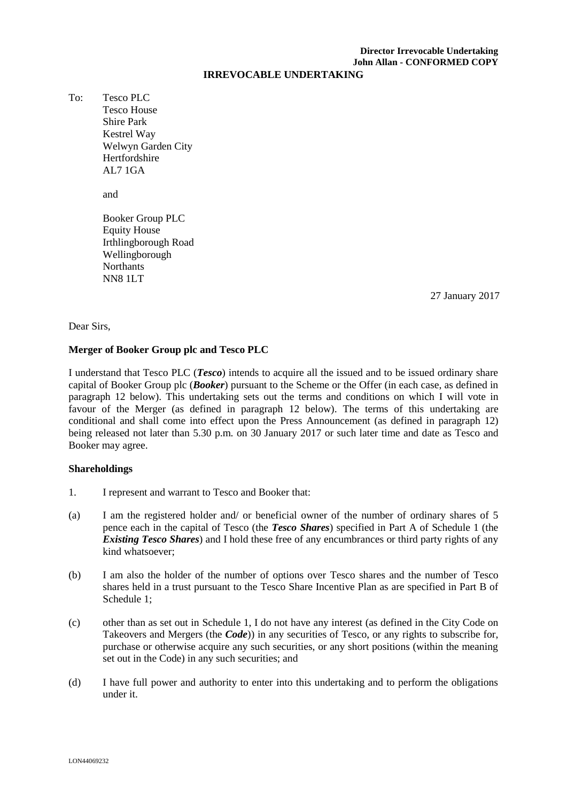# **Director Irrevocable Undertaking John Allan - CONFORMED COPY**

#### **IRREVOCABLE UNDERTAKING**

To: Tesco PLC Tesco House Shire Park Kestrel Way Welwyn Garden City Hertfordshire AL7 1GA

and

Booker Group PLC Equity House Irthlingborough Road Wellingborough Northants NN8 1LT

\_\_\_\_\_ January 2017 27 27 January 2017

Dear Sirs,

## **Merger of Booker Group plc and Tesco PLC**

I understand that Tesco PLC (*Tesco*) intends to acquire all the issued and to be issued ordinary share capital of Booker Group plc (*Booker*) pursuant to the Scheme or the Offer (in each case, as defined in paragraph 12 below). This undertaking sets out the terms and conditions on which I will vote in favour of the Merger (as defined in paragraph 12 below). The terms of this undertaking are conditional and shall come into effect upon the Press Announcement (as defined in paragraph 12) being released not later than 5.30 p.m. on 30 January 2017 or such later time and date as Tesco and Booker may agree.

## **Shareholdings**

- 1. I represent and warrant to Tesco and Booker that:
- (a) I am the registered holder and/ or beneficial owner of the number of ordinary shares of 5 pence each in the capital of Tesco (the *Tesco Shares*) specified in Part A of Schedule 1 (the *Existing Tesco Shares*) and I hold these free of any encumbrances or third party rights of any kind whatsoever;
- (b) I am also the holder of the number of options over Tesco shares and the number of Tesco shares held in a trust pursuant to the Tesco Share Incentive Plan as are specified in Part B of Schedule 1;
- (c) other than as set out in Schedule 1, I do not have any interest (as defined in the City Code on Takeovers and Mergers (the *Code*)) in any securities of Tesco, or any rights to subscribe for, purchase or otherwise acquire any such securities, or any short positions (within the meaning set out in the Code) in any such securities; and
- (d) I have full power and authority to enter into this undertaking and to perform the obligations under it.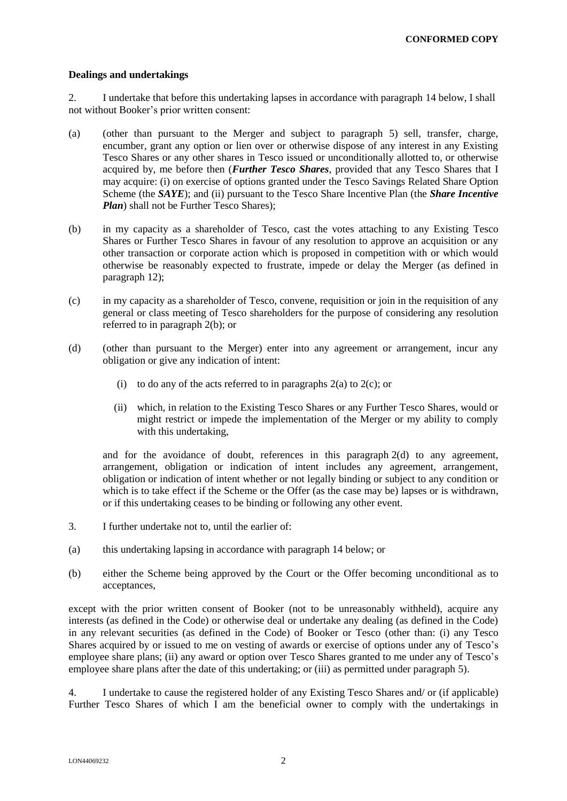### **Dealings and undertakings**

2. I undertake that before this undertaking lapses in accordance with paragraph 14 below, I shall not without Booker's prior written consent:

- (a) (other than pursuant to the Merger and subject to paragraph 5) sell, transfer, charge, encumber, grant any option or lien over or otherwise dispose of any interest in any Existing Tesco Shares or any other shares in Tesco issued or unconditionally allotted to, or otherwise acquired by, me before then (*Further Tesco Shares*, provided that any Tesco Shares that I may acquire: (i) on exercise of options granted under the Tesco Savings Related Share Option Scheme (the *SAYE*); and (ii) pursuant to the Tesco Share Incentive Plan (the *Share Incentive Plan*) shall not be Further Tesco Shares):
- (b) in my capacity as a shareholder of Tesco, cast the votes attaching to any Existing Tesco Shares or Further Tesco Shares in favour of any resolution to approve an acquisition or any other transaction or corporate action which is proposed in competition with or which would otherwise be reasonably expected to frustrate, impede or delay the Merger (as defined in paragraph 12);
- (c) in my capacity as a shareholder of Tesco, convene, requisition or join in the requisition of any general or class meeting of Tesco shareholders for the purpose of considering any resolution referred to in paragraph 2(b); or
- (d) (other than pursuant to the Merger) enter into any agreement or arrangement, incur any obligation or give any indication of intent:
	- (i) to do any of the acts referred to in paragraphs  $2(a)$  to  $2(c)$ ; or
	- (ii) which, in relation to the Existing Tesco Shares or any Further Tesco Shares, would or might restrict or impede the implementation of the Merger or my ability to comply with this undertaking,

and for the avoidance of doubt, references in this paragraph 2(d) to any agreement, arrangement, obligation or indication of intent includes any agreement, arrangement, obligation or indication of intent whether or not legally binding or subject to any condition or which is to take effect if the Scheme or the Offer (as the case may be) lapses or is withdrawn, or if this undertaking ceases to be binding or following any other event.

- 3. I further undertake not to, until the earlier of:
- (a) this undertaking lapsing in accordance with paragraph 14 below; or
- (b) either the Scheme being approved by the Court or the Offer becoming unconditional as to acceptances,

except with the prior written consent of Booker (not to be unreasonably withheld), acquire any interests (as defined in the Code) or otherwise deal or undertake any dealing (as defined in the Code) in any relevant securities (as defined in the Code) of Booker or Tesco (other than: (i) any Tesco Shares acquired by or issued to me on vesting of awards or exercise of options under any of Tesco's employee share plans; (ii) any award or option over Tesco Shares granted to me under any of Tesco's employee share plans after the date of this undertaking; or (iii) as permitted under paragraph 5).

4. I undertake to cause the registered holder of any Existing Tesco Shares and/ or (if applicable) Further Tesco Shares of which I am the beneficial owner to comply with the undertakings in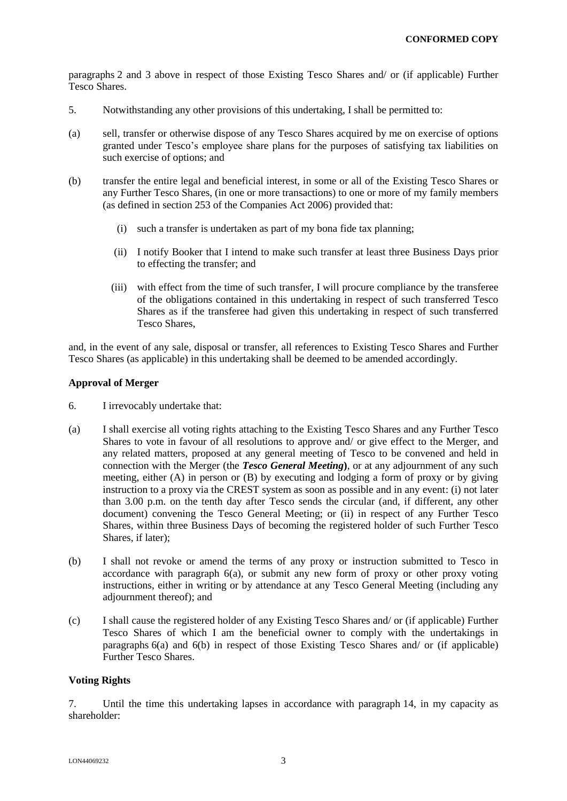paragraphs 2 and 3 above in respect of those Existing Tesco Shares and/ or (if applicable) Further Tesco Shares.

- 5. Notwithstanding any other provisions of this undertaking, I shall be permitted to:
- (a) sell, transfer or otherwise dispose of any Tesco Shares acquired by me on exercise of options granted under Tesco's employee share plans for the purposes of satisfying tax liabilities on such exercise of options; and
- (b) transfer the entire legal and beneficial interest, in some or all of the Existing Tesco Shares or any Further Tesco Shares, (in one or more transactions) to one or more of my family members (as defined in section 253 of the Companies Act 2006) provided that:
	- (i) such a transfer is undertaken as part of my bona fide tax planning;
	- (ii) I notify Booker that I intend to make such transfer at least three Business Days prior to effecting the transfer; and
	- (iii) with effect from the time of such transfer, I will procure compliance by the transferee of the obligations contained in this undertaking in respect of such transferred Tesco Shares as if the transferee had given this undertaking in respect of such transferred Tesco Shares,

and, in the event of any sale, disposal or transfer, all references to Existing Tesco Shares and Further Tesco Shares (as applicable) in this undertaking shall be deemed to be amended accordingly.

## **Approval of Merger**

- 6. I irrevocably undertake that:
- (a) I shall exercise all voting rights attaching to the Existing Tesco Shares and any Further Tesco Shares to vote in favour of all resolutions to approve and/ or give effect to the Merger, and any related matters, proposed at any general meeting of Tesco to be convened and held in connection with the Merger (the *Tesco General Meeting***)**, or at any adjournment of any such meeting, either (A) in person or (B) by executing and lodging a form of proxy or by giving instruction to a proxy via the CREST system as soon as possible and in any event: (i) not later than 3.00 p.m. on the tenth day after Tesco sends the circular (and, if different, any other document) convening the Tesco General Meeting; or (ii) in respect of any Further Tesco Shares, within three Business Days of becoming the registered holder of such Further Tesco Shares, if later);
- (b) I shall not revoke or amend the terms of any proxy or instruction submitted to Tesco in accordance with paragraph 6(a), or submit any new form of proxy or other proxy voting instructions, either in writing or by attendance at any Tesco General Meeting (including any adjournment thereof); and
- (c) I shall cause the registered holder of any Existing Tesco Shares and/ or (if applicable) Further Tesco Shares of which I am the beneficial owner to comply with the undertakings in paragraphs 6(a) and 6(b) in respect of those Existing Tesco Shares and/ or (if applicable) Further Tesco Shares.

## **Voting Rights**

7. Until the time this undertaking lapses in accordance with paragraph 14, in my capacity as shareholder: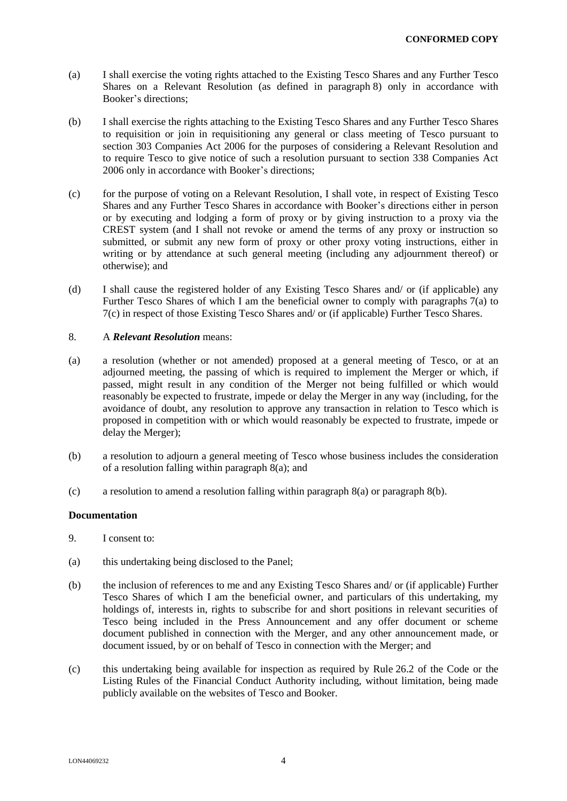- (a) I shall exercise the voting rights attached to the Existing Tesco Shares and any Further Tesco Shares on a Relevant Resolution (as defined in paragraph 8) only in accordance with Booker's directions;
- (b) I shall exercise the rights attaching to the Existing Tesco Shares and any Further Tesco Shares to requisition or join in requisitioning any general or class meeting of Tesco pursuant to section 303 Companies Act 2006 for the purposes of considering a Relevant Resolution and to require Tesco to give notice of such a resolution pursuant to section 338 Companies Act 2006 only in accordance with Booker's directions;
- (c) for the purpose of voting on a Relevant Resolution, I shall vote, in respect of Existing Tesco Shares and any Further Tesco Shares in accordance with Booker's directions either in person or by executing and lodging a form of proxy or by giving instruction to a proxy via the CREST system (and I shall not revoke or amend the terms of any proxy or instruction so submitted, or submit any new form of proxy or other proxy voting instructions, either in writing or by attendance at such general meeting (including any adjournment thereof) or otherwise); and
- (d) I shall cause the registered holder of any Existing Tesco Shares and/ or (if applicable) any Further Tesco Shares of which I am the beneficial owner to comply with paragraphs 7(a) to 7(c) in respect of those Existing Tesco Shares and/ or (if applicable) Further Tesco Shares.

### 8. A *Relevant Resolution* means:

- (a) a resolution (whether or not amended) proposed at a general meeting of Tesco, or at an adjourned meeting, the passing of which is required to implement the Merger or which, if passed, might result in any condition of the Merger not being fulfilled or which would reasonably be expected to frustrate, impede or delay the Merger in any way (including, for the avoidance of doubt, any resolution to approve any transaction in relation to Tesco which is proposed in competition with or which would reasonably be expected to frustrate, impede or delay the Merger);
- (b) a resolution to adjourn a general meeting of Tesco whose business includes the consideration of a resolution falling within paragraph 8(a); and
- (c) a resolution to amend a resolution falling within paragraph 8(a) or paragraph 8(b).

#### **Documentation**

- 9. I consent to:
- (a) this undertaking being disclosed to the Panel;
- (b) the inclusion of references to me and any Existing Tesco Shares and/ or (if applicable) Further Tesco Shares of which I am the beneficial owner, and particulars of this undertaking, my holdings of, interests in, rights to subscribe for and short positions in relevant securities of Tesco being included in the Press Announcement and any offer document or scheme document published in connection with the Merger, and any other announcement made, or document issued, by or on behalf of Tesco in connection with the Merger; and
- (c) this undertaking being available for inspection as required by Rule 26.2 of the Code or the Listing Rules of the Financial Conduct Authority including, without limitation, being made publicly available on the websites of Tesco and Booker.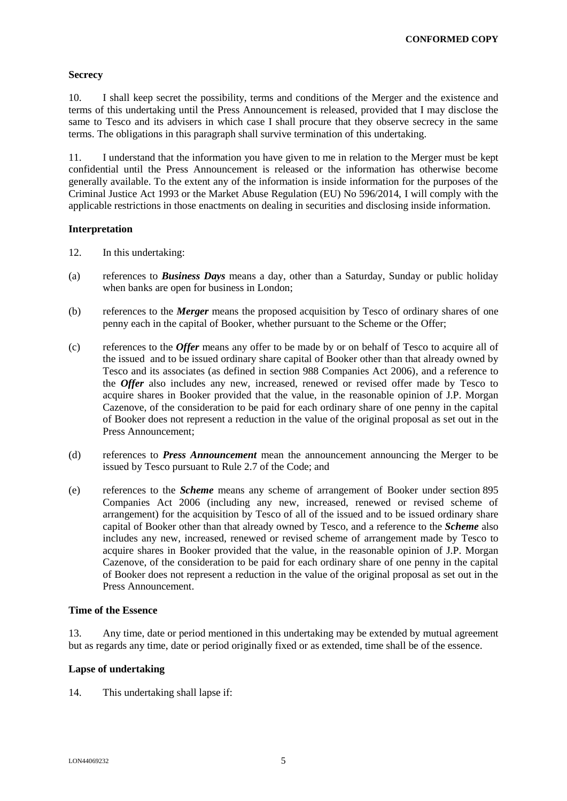## **Secrecy**

10. I shall keep secret the possibility, terms and conditions of the Merger and the existence and terms of this undertaking until the Press Announcement is released, provided that I may disclose the same to Tesco and its advisers in which case I shall procure that they observe secrecy in the same terms. The obligations in this paragraph shall survive termination of this undertaking.

11. I understand that the information you have given to me in relation to the Merger must be kept confidential until the Press Announcement is released or the information has otherwise become generally available. To the extent any of the information is inside information for the purposes of the Criminal Justice Act 1993 or the Market Abuse Regulation (EU) No 596/2014, I will comply with the applicable restrictions in those enactments on dealing in securities and disclosing inside information.

### **Interpretation**

- 12. In this undertaking:
- (a) references to *Business Days* means a day, other than a Saturday, Sunday or public holiday when banks are open for business in London;
- (b) references to the *Merger* means the proposed acquisition by Tesco of ordinary shares of one penny each in the capital of Booker, whether pursuant to the Scheme or the Offer;
- (c) references to the *Offer* means any offer to be made by or on behalf of Tesco to acquire all of the issued and to be issued ordinary share capital of Booker other than that already owned by Tesco and its associates (as defined in section 988 Companies Act 2006), and a reference to the *Offer* also includes any new, increased, renewed or revised offer made by Tesco to acquire shares in Booker provided that the value, in the reasonable opinion of J.P. Morgan Cazenove, of the consideration to be paid for each ordinary share of one penny in the capital of Booker does not represent a reduction in the value of the original proposal as set out in the Press Announcement;
- (d) references to *Press Announcement* mean the announcement announcing the Merger to be issued by Tesco pursuant to Rule 2.7 of the Code; and
- (e) references to the *Scheme* means any scheme of arrangement of Booker under section 895 Companies Act 2006 (including any new, increased, renewed or revised scheme of arrangement) for the acquisition by Tesco of all of the issued and to be issued ordinary share capital of Booker other than that already owned by Tesco, and a reference to the *Scheme* also includes any new, increased, renewed or revised scheme of arrangement made by Tesco to acquire shares in Booker provided that the value, in the reasonable opinion of J.P. Morgan Cazenove, of the consideration to be paid for each ordinary share of one penny in the capital of Booker does not represent a reduction in the value of the original proposal as set out in the Press Announcement.

### **Time of the Essence**

13. Any time, date or period mentioned in this undertaking may be extended by mutual agreement but as regards any time, date or period originally fixed or as extended, time shall be of the essence.

## **Lapse of undertaking**

14. This undertaking shall lapse if: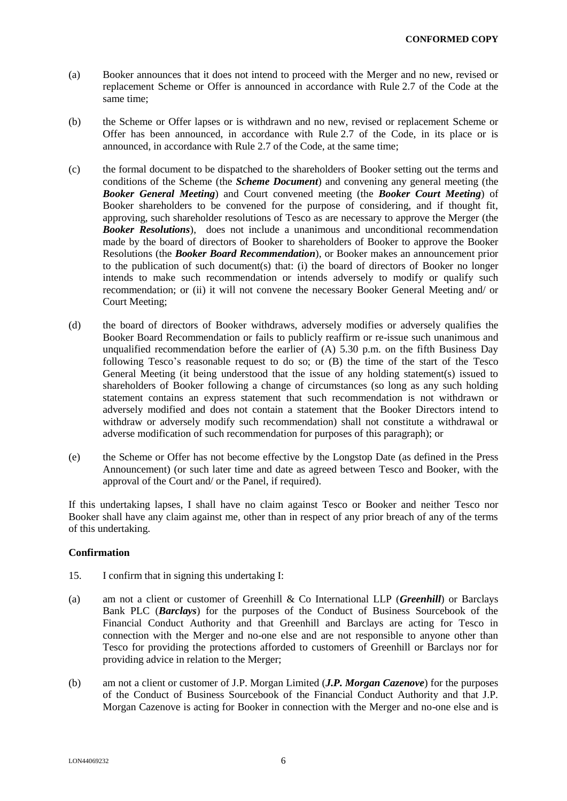- (a) Booker announces that it does not intend to proceed with the Merger and no new, revised or replacement Scheme or Offer is announced in accordance with Rule 2.7 of the Code at the same time;
- (b) the Scheme or Offer lapses or is withdrawn and no new, revised or replacement Scheme or Offer has been announced, in accordance with Rule 2.7 of the Code, in its place or is announced, in accordance with Rule 2.7 of the Code, at the same time;
- (c) the formal document to be dispatched to the shareholders of Booker setting out the terms and conditions of the Scheme (the *Scheme Document*) and convening any general meeting (the *Booker General Meeting*) and Court convened meeting (the *Booker Court Meeting*) of Booker shareholders to be convened for the purpose of considering, and if thought fit, approving, such shareholder resolutions of Tesco as are necessary to approve the Merger (the *Booker Resolutions*), does not include a unanimous and unconditional recommendation made by the board of directors of Booker to shareholders of Booker to approve the Booker Resolutions (the *Booker Board Recommendation*), or Booker makes an announcement prior to the publication of such document(s) that: (i) the board of directors of Booker no longer intends to make such recommendation or intends adversely to modify or qualify such recommendation; or (ii) it will not convene the necessary Booker General Meeting and/ or Court Meeting;
- (d) the board of directors of Booker withdraws, adversely modifies or adversely qualifies the Booker Board Recommendation or fails to publicly reaffirm or re-issue such unanimous and unqualified recommendation before the earlier of  $(A)$  5.30 p.m. on the fifth Business Day following Tesco's reasonable request to do so; or (B) the time of the start of the Tesco General Meeting (it being understood that the issue of any holding statement(s) issued to shareholders of Booker following a change of circumstances (so long as any such holding statement contains an express statement that such recommendation is not withdrawn or adversely modified and does not contain a statement that the Booker Directors intend to withdraw or adversely modify such recommendation) shall not constitute a withdrawal or adverse modification of such recommendation for purposes of this paragraph); or
- (e) the Scheme or Offer has not become effective by the Longstop Date (as defined in the Press Announcement) (or such later time and date as agreed between Tesco and Booker, with the approval of the Court and/ or the Panel, if required).

If this undertaking lapses, I shall have no claim against Tesco or Booker and neither Tesco nor Booker shall have any claim against me, other than in respect of any prior breach of any of the terms of this undertaking.

## **Confirmation**

- 15. I confirm that in signing this undertaking I:
- (a) am not a client or customer of Greenhill & Co International LLP (*Greenhill*) or Barclays Bank PLC (*Barclays*) for the purposes of the Conduct of Business Sourcebook of the Financial Conduct Authority and that Greenhill and Barclays are acting for Tesco in connection with the Merger and no-one else and are not responsible to anyone other than Tesco for providing the protections afforded to customers of Greenhill or Barclays nor for providing advice in relation to the Merger;
- (b) am not a client or customer of J.P. Morgan Limited (*J.P. Morgan Cazenove*) for the purposes of the Conduct of Business Sourcebook of the Financial Conduct Authority and that J.P. Morgan Cazenove is acting for Booker in connection with the Merger and no-one else and is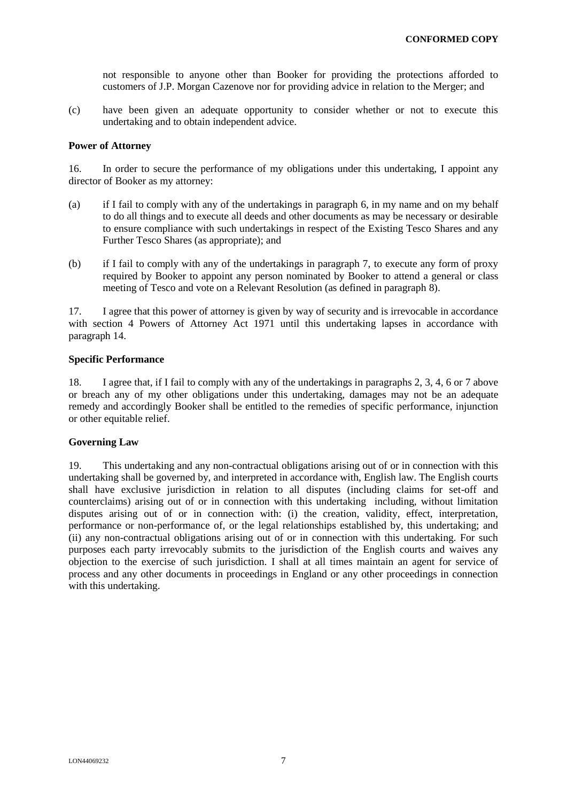not responsible to anyone other than Booker for providing the protections afforded to customers of J.P. Morgan Cazenove nor for providing advice in relation to the Merger; and

(c) have been given an adequate opportunity to consider whether or not to execute this undertaking and to obtain independent advice.

#### **Power of Attorney**

16. In order to secure the performance of my obligations under this undertaking, I appoint any director of Booker as my attorney:

- (a) if I fail to comply with any of the undertakings in paragraph 6, in my name and on my behalf to do all things and to execute all deeds and other documents as may be necessary or desirable to ensure compliance with such undertakings in respect of the Existing Tesco Shares and any Further Tesco Shares (as appropriate); and
- (b) if I fail to comply with any of the undertakings in paragraph 7, to execute any form of proxy required by Booker to appoint any person nominated by Booker to attend a general or class meeting of Tesco and vote on a Relevant Resolution (as defined in paragraph 8).

17. I agree that this power of attorney is given by way of security and is irrevocable in accordance with section 4 Powers of Attorney Act 1971 until this undertaking lapses in accordance with paragraph 14.

### **Specific Performance**

18. I agree that, if I fail to comply with any of the undertakings in paragraphs 2, 3, 4, 6 or 7 above or breach any of my other obligations under this undertaking, damages may not be an adequate remedy and accordingly Booker shall be entitled to the remedies of specific performance, injunction or other equitable relief.

## **Governing Law**

19. This undertaking and any non-contractual obligations arising out of or in connection with this undertaking shall be governed by, and interpreted in accordance with, English law. The English courts shall have exclusive jurisdiction in relation to all disputes (including claims for set-off and counterclaims) arising out of or in connection with this undertaking including, without limitation disputes arising out of or in connection with: (i) the creation, validity, effect, interpretation, performance or non-performance of, or the legal relationships established by, this undertaking; and (ii) any non-contractual obligations arising out of or in connection with this undertaking. For such purposes each party irrevocably submits to the jurisdiction of the English courts and waives any objection to the exercise of such jurisdiction. I shall at all times maintain an agent for service of process and any other documents in proceedings in England or any other proceedings in connection with this undertaking.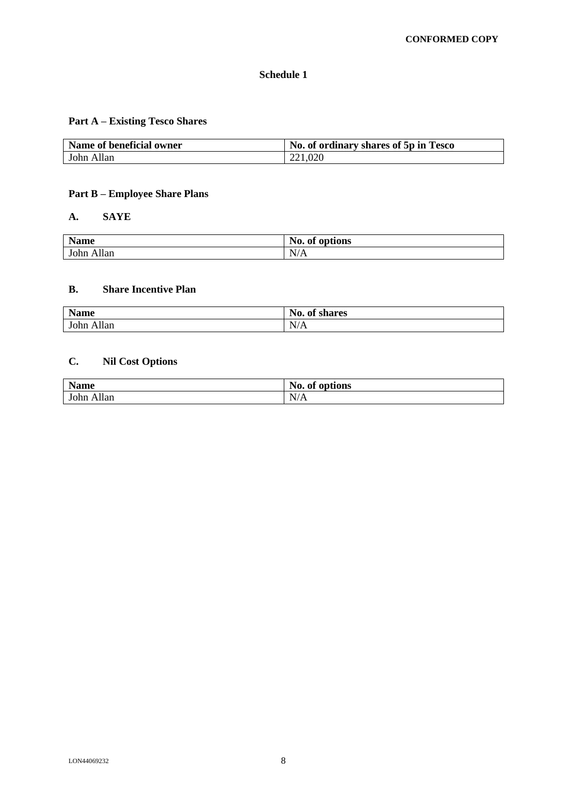## **Schedule 1**

# **Part A – Existing Tesco Shares**

| Name of beneficial owner | No. of ordinary shares of 5p in Tesco |
|--------------------------|---------------------------------------|
| John Allan               | 221,020                               |

## **Part B – Employee Share Plans**

### **A. SAYE**

| <b>Name</b>          | No.<br>$\mathbf{a}$<br>$\overline{\phantom{a}}$<br>options<br>Оľ |
|----------------------|------------------------------------------------------------------|
| <b>illan</b><br>John | N/A                                                              |

## **B. Share Incentive Plan**

| <b>Name</b>                   | $\mathbf{N_0}$ .<br>$\bullet$<br>of shares |
|-------------------------------|--------------------------------------------|
| $\mathbf{A}$<br>John<br>Allan | N/A                                        |

# **C. Nil Cost Options**

| <b>Name</b>                      | No.<br>options<br>-of |
|----------------------------------|-----------------------|
| $\overline{11}$<br>John<br>Allan | N/A                   |